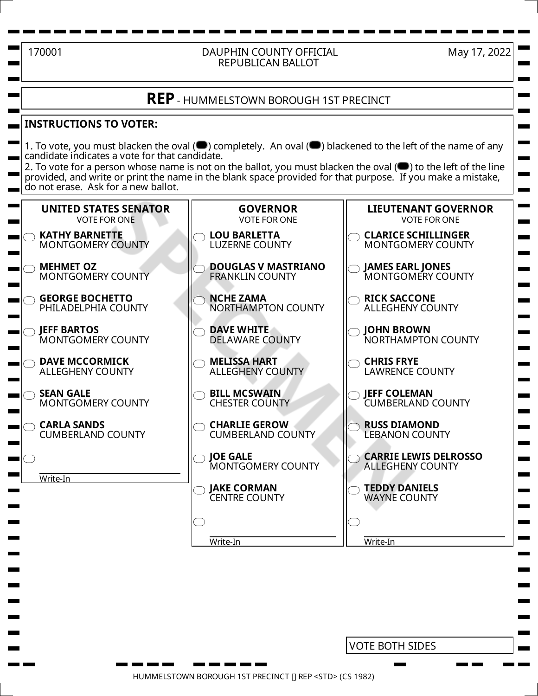## 170001 DAUPHIN COUNTY OFFICIAL REPUBLICAN BALLOT

May 17, 2022

## **REP**- HUMMELSTOWN BOROUGH 1ST PRECINCT **INSTRUCTIONS TO VOTER:** 1. To vote, you must blacken the oval (**\*\*\***) completely. An oval (\*\*\*) blackened to the left of the name of any candidate indicates a vote for that candidate. 2. To vote for a person whose name is not on the ballot, you must blacken the oval ( $\blacksquare$ ) to the left of the line provided, and write or print the name in the blank space provided for that purpose. If you make a mistake, do not erase. Ask for a new ballot. **UNITED STATES SENATOR GOVERNOR LIEUTENANT GOVERNOR** VOTE FOR ONE VOTE FOR ONE VOTE FOR ONE **CLARICE SCHILLINGER KATHY BARNETTE LOU BARLETTA** MONTGOMERY COUNTY LUZERNE COUNTY MONTGOMERY COUNTY **DOUGLAS V MASTRIANO JAMES EARL JONES MEHMET OZ** MONTGOMERY COUNTY MONTGOMERY COUNTY FRANKLIN COUNTY **GEORGE BOCHETTO NCHE ZAMA RICK SACCONE** PHILADELPHIA COUNTY NORTHAMPTON COUNTY ALLEGHENY COUNTY **JEFF BARTOS DAVE WHITE JOHN BROWN** MONTGOMERY COUNTY DELAWARE COUNTY NORTHAMPTON COUNTY  $\frown$  DAVE MCCORMICK **MELISSA HART CHRIS FRYE** LAWRENCE COUNTY ALLEGHENY COUNTY ALLEGHENY COUNTY **SEAN GALE BILL MCSWAIN JEFF COLEMAN** MONTGOMERY COUNTY CHESTER COUNTY CUMBERLAND COUNTY **CARLA SANDS CHARLIE GEROW RUSS DIAMOND** CUMBERLAND COUNTY CUMBERLAND COUNTY LEBANON COUNTY **JOE GALE CARRIE LEWIS DELROSSO** MONTGOMERY COUNTY ALLEGHENY COUNTY Write-In **TEDDY DANIELS JAKE CORMAN** CENTRE COUNTY WAYNE COUNTY  $\left( \begin{array}{c} \cdot \end{array} \right)$ Write-In Write-In

VOTE BOTH SIDES